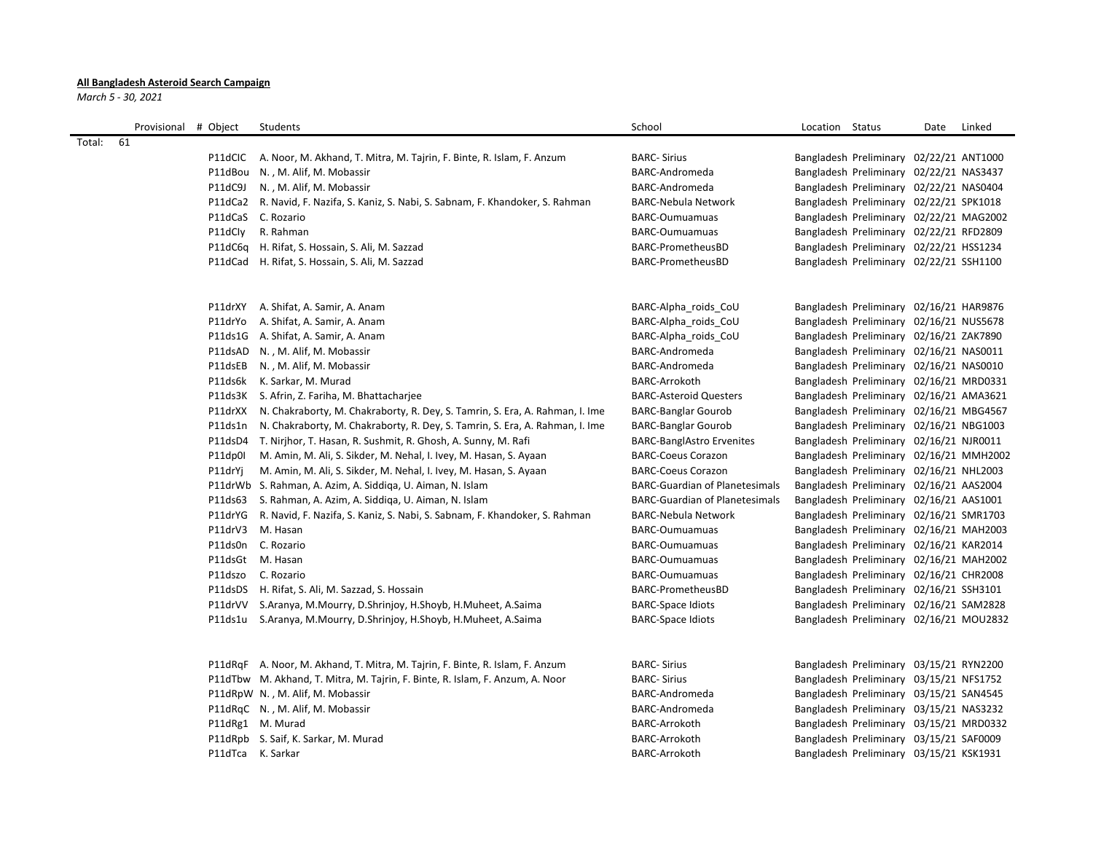## **All Bangladesh Asteroid Search Campaign**

*March 5 - 30, 2021*

|        | Provisional # Object |                   | Students                                                                           | School                                | Location | Status                                  | Date | Linked |
|--------|----------------------|-------------------|------------------------------------------------------------------------------------|---------------------------------------|----------|-----------------------------------------|------|--------|
| Total: | 61                   |                   |                                                                                    |                                       |          |                                         |      |        |
|        |                      |                   | P11dCIC A. Noor, M. Akhand, T. Mitra, M. Tajrin, F. Binte, R. Islam, F. Anzum      | <b>BARC- Sirius</b>                   |          | Bangladesh Preliminary 02/22/21 ANT1000 |      |        |
|        |                      |                   | P11dBou N., M. Alif, M. Mobassir                                                   | BARC-Andromeda                        |          | Bangladesh Preliminary 02/22/21 NAS3437 |      |        |
|        |                      | P11dC9J           | N., M. Alif, M. Mobassir                                                           | BARC-Andromeda                        |          | Bangladesh Preliminary 02/22/21 NAS0404 |      |        |
|        |                      |                   | P11dCa2 R. Navid, F. Nazifa, S. Kaniz, S. Nabi, S. Sabnam, F. Khandoker, S. Rahman | BARC-Nebula Network                   |          | Bangladesh Preliminary 02/22/21 SPK1018 |      |        |
|        |                      |                   | P11dCaS C. Rozario                                                                 | <b>BARC-Oumuamuas</b>                 |          | Bangladesh Preliminary 02/22/21 MAG2002 |      |        |
|        |                      | P11dCly           | R. Rahman                                                                          | <b>BARC-Oumuamuas</b>                 |          | Bangladesh Preliminary 02/22/21 RFD2809 |      |        |
|        |                      |                   | P11dC6q H. Rifat, S. Hossain, S. Ali, M. Sazzad                                    | BARC-PrometheusBD                     |          | Bangladesh Preliminary 02/22/21 HSS1234 |      |        |
|        |                      |                   | P11dCad H. Rifat, S. Hossain, S. Ali, M. Sazzad                                    | BARC-PrometheusBD                     |          | Bangladesh Preliminary 02/22/21 SSH1100 |      |        |
|        |                      |                   |                                                                                    |                                       |          |                                         |      |        |
|        |                      | P11drXY           | A. Shifat, A. Samir, A. Anam                                                       | BARC-Alpha roids CoU                  |          | Bangladesh Preliminary 02/16/21 HAR9876 |      |        |
|        |                      | P11drYo           | A. Shifat, A. Samir, A. Anam                                                       | BARC-Alpha roids CoU                  |          | Bangladesh Preliminary 02/16/21 NUS5678 |      |        |
|        |                      | P11ds1G           | A. Shifat, A. Samir, A. Anam                                                       | BARC-Alpha roids CoU                  |          | Bangladesh Preliminary 02/16/21 ZAK7890 |      |        |
|        |                      | P11dsAD           | N., M. Alif, M. Mobassir                                                           | BARC-Andromeda                        |          | Bangladesh Preliminary 02/16/21 NAS0011 |      |        |
|        |                      | P11dsEB           | N., M. Alif, M. Mobassir                                                           | <b>BARC-Andromeda</b>                 |          | Bangladesh Preliminary 02/16/21 NAS0010 |      |        |
|        |                      |                   | P11ds6k K. Sarkar, M. Murad                                                        | <b>BARC-Arrokoth</b>                  |          | Bangladesh Preliminary 02/16/21 MRD0331 |      |        |
|        |                      |                   | P11ds3K S. Afrin, Z. Fariha, M. Bhattacharjee                                      | <b>BARC-Asteroid Questers</b>         |          | Bangladesh Preliminary 02/16/21 AMA3621 |      |        |
|        |                      | P11drXX           | N. Chakraborty, M. Chakraborty, R. Dey, S. Tamrin, S. Era, A. Rahman, I. Ime       | <b>BARC-Banglar Gourob</b>            |          | Bangladesh Preliminary 02/16/21 MBG4567 |      |        |
|        |                      | P11ds1n           | N. Chakraborty, M. Chakraborty, R. Dey, S. Tamrin, S. Era, A. Rahman, I. Ime       | <b>BARC-Banglar Gourob</b>            |          | Bangladesh Preliminary 02/16/21 NBG1003 |      |        |
|        |                      |                   | P11dsD4 T. Nirjhor, T. Hasan, R. Sushmit, R. Ghosh, A. Sunny, M. Rafi              | <b>BARC-BanglAstro Ervenites</b>      |          | Bangladesh Preliminary 02/16/21 NJR0011 |      |        |
|        |                      | P11dp0l           | M. Amin, M. Ali, S. Sikder, M. Nehal, I. Ivey, M. Hasan, S. Ayaan                  | <b>BARC-Coeus Corazon</b>             |          | Bangladesh Preliminary 02/16/21 MMH2002 |      |        |
|        |                      | P11drYj           | M. Amin, M. Ali, S. Sikder, M. Nehal, I. Ivey, M. Hasan, S. Ayaan                  | <b>BARC-Coeus Corazon</b>             |          | Bangladesh Preliminary 02/16/21 NHL2003 |      |        |
|        |                      |                   | P11drWb S. Rahman, A. Azim, A. Siddiga, U. Aiman, N. Islam                         | <b>BARC-Guardian of Planetesimals</b> |          | Bangladesh Preliminary 02/16/21 AAS2004 |      |        |
|        |                      | P11ds63           | S. Rahman, A. Azim, A. Siddiga, U. Aiman, N. Islam                                 | <b>BARC-Guardian of Planetesimals</b> |          | Bangladesh Preliminary 02/16/21 AAS1001 |      |        |
|        |                      | P11drYG           | R. Navid, F. Nazifa, S. Kaniz, S. Nabi, S. Sabnam, F. Khandoker, S. Rahman         | BARC-Nebula Network                   |          | Bangladesh Preliminary 02/16/21 SMR1703 |      |        |
|        |                      | P11drV3           | M. Hasan                                                                           | <b>BARC-Oumuamuas</b>                 |          | Bangladesh Preliminary 02/16/21 MAH2003 |      |        |
|        |                      | P11ds0n           | C. Rozario                                                                         | <b>BARC-Oumuamuas</b>                 |          | Bangladesh Preliminary 02/16/21 KAR2014 |      |        |
|        |                      | P11dsGt M. Hasan  |                                                                                    | <b>BARC-Oumuamuas</b>                 |          | Bangladesh Preliminary 02/16/21 MAH2002 |      |        |
|        |                      | P11dszo           | C. Rozario                                                                         | <b>BARC-Oumuamuas</b>                 |          | Bangladesh Preliminary 02/16/21 CHR2008 |      |        |
|        |                      |                   | P11dsDS H. Rifat, S. Ali, M. Sazzad, S. Hossain                                    | BARC-PrometheusBD                     |          | Bangladesh Preliminary 02/16/21 SSH3101 |      |        |
|        |                      | P11drVV           | S.Aranya, M.Mourry, D.Shrinjoy, H.Shoyb, H.Muheet, A.Saima                         | <b>BARC-Space Idiots</b>              |          | Bangladesh Preliminary 02/16/21 SAM2828 |      |        |
|        |                      | P11ds1u           | S.Aranya, M.Mourry, D.Shrinjoy, H.Shoyb, H.Muheet, A.Saima                         | <b>BARC-Space Idiots</b>              |          | Bangladesh Preliminary 02/16/21 MOU2832 |      |        |
|        |                      |                   |                                                                                    |                                       |          |                                         |      |        |
|        |                      |                   | P11dRqF A. Noor, M. Akhand, T. Mitra, M. Tajrin, F. Binte, R. Islam, F. Anzum      | <b>BARC-Sirius</b>                    |          | Bangladesh Preliminary 03/15/21 RYN2200 |      |        |
|        |                      |                   | P11dTbw M. Akhand, T. Mitra, M. Tajrin, F. Binte, R. Islam, F. Anzum, A. Noor      | <b>BARC-Sirius</b>                    |          | Bangladesh Preliminary 03/15/21 NFS1752 |      |        |
|        |                      |                   | P11dRpW N., M. Alif, M. Mobassir                                                   | <b>BARC-Andromeda</b>                 |          | Bangladesh Preliminary 03/15/21 SAN4545 |      |        |
|        |                      |                   | P11dRqC N., M. Alif, M. Mobassir                                                   | BARC-Andromeda                        |          | Bangladesh Preliminary 03/15/21 NAS3232 |      |        |
|        |                      |                   | P11dRg1 M. Murad                                                                   | <b>BARC-Arrokoth</b>                  |          | Bangladesh Preliminary 03/15/21 MRD0332 |      |        |
|        |                      |                   | P11dRpb S. Saif, K. Sarkar, M. Murad                                               | <b>BARC-Arrokoth</b>                  |          | Bangladesh Preliminary 03/15/21 SAF0009 |      |        |
|        |                      | P11dTca K. Sarkar |                                                                                    | <b>BARC-Arrokoth</b>                  |          | Bangladesh Preliminary 03/15/21 KSK1931 |      |        |